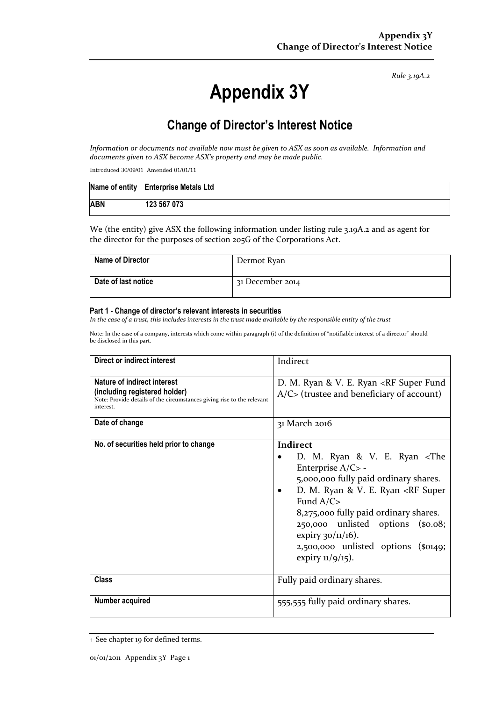*Rule 3.19A.2*

# **Appendix 3Y**

## **Change of Director's Interest Notice**

*Information or documents not available now must be given to ASX as soon as available. Information and documents given to ASX become ASX's property and may be made public.*

Introduced 30/09/01 Amended 01/01/11

|            | Name of entity Enterprise Metals Ltd |
|------------|--------------------------------------|
| <b>ABN</b> | 123 567 073                          |

We (the entity) give ASX the following information under listing rule 3.19A.2 and as agent for the director for the purposes of section 205G of the Corporations Act.

| Name of Director    | Dermot Ryan      |
|---------------------|------------------|
| Date of last notice | 31 December 2014 |

#### **Part 1 - Change of director's relevant interests in securities**

*In the case of a trust, this includes interests in the trust made available by the responsible entity of the trust*

Note: In the case of a company, interests which come within paragraph (i) of the definition of "notifiable interest of a director" should be disclosed in this part.

| Direct or indirect interest                                                                                                                         | Indirect                                                                                                                                                                                                                                                                                                                                                                                                 |
|-----------------------------------------------------------------------------------------------------------------------------------------------------|----------------------------------------------------------------------------------------------------------------------------------------------------------------------------------------------------------------------------------------------------------------------------------------------------------------------------------------------------------------------------------------------------------|
| Nature of indirect interest<br>(including registered holder)<br>Note: Provide details of the circumstances giving rise to the relevant<br>interest. | D. M. Ryan & V. E. Ryan <rf fund<br="" super=""><math>A/C</math> (trustee and beneficiary of account)</rf>                                                                                                                                                                                                                                                                                               |
| Date of change                                                                                                                                      | 31 March 2016                                                                                                                                                                                                                                                                                                                                                                                            |
| No. of securities held prior to change                                                                                                              | Indirect<br>D. M. Ryan & V. E. Ryan <the<br>Enterprise A/C&gt; -<br/>5,000,000 fully paid ordinary shares.<br/>D. M. Ryan &amp; V. E. Ryan <rf super<br="">Fund <math>A/C</math><br/>8,275,000 fully paid ordinary shares.<br/>250,000 unlisted options (\$0.08;<br/>expiry <math>30/11/16</math>).<br/><math>2,500,000</math> unlisted options (\$0149;<br/>expiry <math>11/9/15</math>).</rf></the<br> |
| Class                                                                                                                                               | Fully paid ordinary shares.                                                                                                                                                                                                                                                                                                                                                                              |
| <b>Number acquired</b>                                                                                                                              | 555,555 fully paid ordinary shares.                                                                                                                                                                                                                                                                                                                                                                      |

<sup>+</sup> See chapter 19 for defined terms.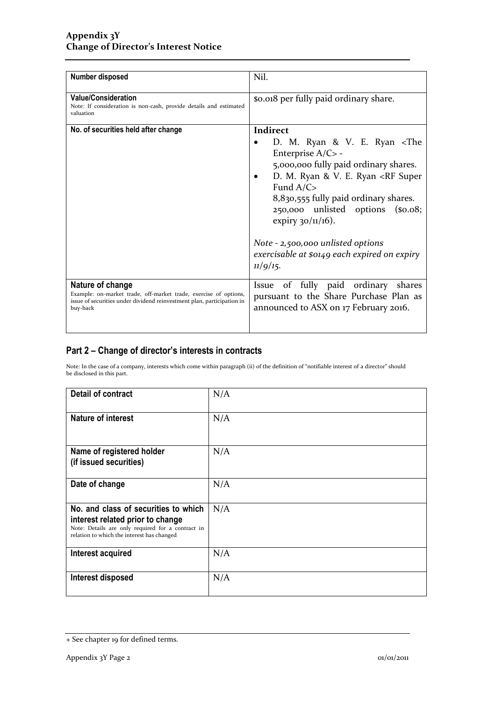| Number disposed                                                                                                                                                            | Nil.                                                                                                                                                                                                                                                                                                                                                                                                                                     |
|----------------------------------------------------------------------------------------------------------------------------------------------------------------------------|------------------------------------------------------------------------------------------------------------------------------------------------------------------------------------------------------------------------------------------------------------------------------------------------------------------------------------------------------------------------------------------------------------------------------------------|
| <b>Value/Consideration</b><br>Note: If consideration is non-cash, provide details and estimated<br>valuation                                                               | \$0.018 per fully paid ordinary share.                                                                                                                                                                                                                                                                                                                                                                                                   |
| No. of securities held after change                                                                                                                                        | Indirect<br>D. M. Ryan & V. E. Ryan <the<br>Enterprise A/C&gt; -<br/>5,000,000 fully paid ordinary shares.<br/>D. M. Ryan &amp; V. E. Ryan <rf super<br="">٠<br/>Fund <math>A/C</math><br/>8,830,555 fully paid ordinary shares.<br/>250,000 unlisted options (\$0.08;<br/>expiry <math>30/11/16</math>).<br/>Note - 2,500,000 unlisted options<br/>exercisable at \$0149 each expired on expiry<br/><math>11/9/15</math>.</rf></the<br> |
| Nature of change<br>Example: on-market trade, off-market trade, exercise of options,<br>issue of securities under dividend reinvestment plan, participation in<br>buy-back | Issue of fully paid ordinary shares<br>pursuant to the Share Purchase Plan as<br>announced to ASX on 17 February 2016.                                                                                                                                                                                                                                                                                                                   |

### **Part 2 – Change of director's interests in contracts**

Note: In the case of a company, interests which come within paragraph (ii) of the definition of "notifiable interest of a director" should be disclosed in this part.

| <b>Detail of contract</b>                                                                                                                                                   | N/A |
|-----------------------------------------------------------------------------------------------------------------------------------------------------------------------------|-----|
| <b>Nature of interest</b>                                                                                                                                                   | N/A |
| Name of registered holder<br>(if issued securities)                                                                                                                         | N/A |
| Date of change                                                                                                                                                              | N/A |
| No. and class of securities to which<br>interest related prior to change<br>Note: Details are only required for a contract in<br>relation to which the interest has changed | N/A |
| Interest acquired                                                                                                                                                           | N/A |
| Interest disposed                                                                                                                                                           | N/A |

<sup>+</sup> See chapter 19 for defined terms.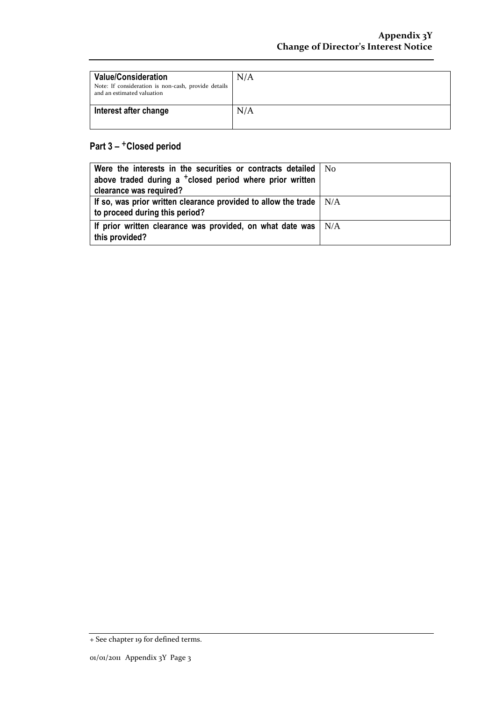| <b>Value/Consideration</b><br>Note: If consideration is non-cash, provide details<br>and an estimated valuation | N/A |
|-----------------------------------------------------------------------------------------------------------------|-----|
| Interest after change                                                                                           | N/A |

## **Part 3 –** +**Closed period**

| Were the interests in the securities or contracts detailed   No<br>above traded during a <sup>+</sup> closed period where prior written |  |
|-----------------------------------------------------------------------------------------------------------------------------------------|--|
| clearance was required?                                                                                                                 |  |
| If so, was prior written clearance provided to allow the trade $\parallel N/A$<br>to proceed during this period?                        |  |
| If prior written clearance was provided, on what date was $\vert$ N/A<br>this provided?                                                 |  |

<sup>+</sup> See chapter 19 for defined terms.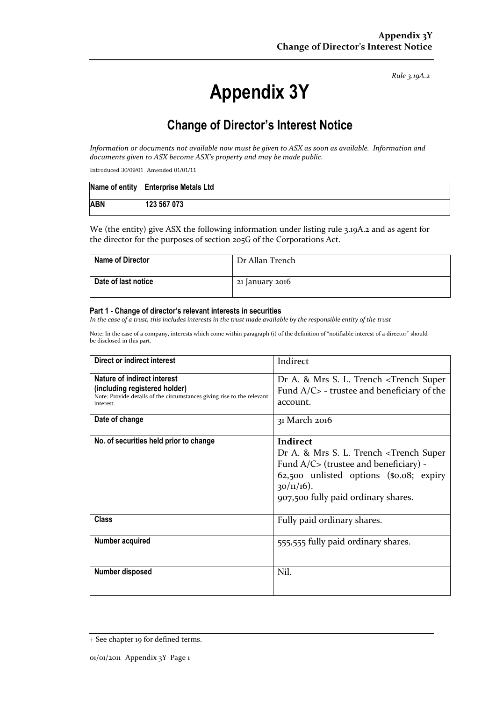*Rule 3.19A.2*

# **Appendix 3Y**

## **Change of Director's Interest Notice**

*Information or documents not available now must be given to ASX as soon as available. Information and documents given to ASX become ASX's property and may be made public.*

Introduced 30/09/01 Amended 01/01/11

|            | Name of entity Enterprise Metals Ltd |
|------------|--------------------------------------|
| <b>ABN</b> | 123 567 073                          |

We (the entity) give ASX the following information under listing rule 3.19A.2 and as agent for the director for the purposes of section 205G of the Corporations Act.

| Name of Director    | Dr Allan Trench |
|---------------------|-----------------|
| Date of last notice | 21 January 2016 |

#### **Part 1 - Change of director's relevant interests in securities**

*In the case of a trust, this includes interests in the trust made available by the responsible entity of the trust*

Note: In the case of a company, interests which come within paragraph (i) of the definition of "notifiable interest of a director" should be disclosed in this part.

| <b>Direct or indirect interest</b>                                                                                                                  | Indirect                                                                                                                                                                                                                            |
|-----------------------------------------------------------------------------------------------------------------------------------------------------|-------------------------------------------------------------------------------------------------------------------------------------------------------------------------------------------------------------------------------------|
| Nature of indirect interest<br>(including registered holder)<br>Note: Provide details of the circumstances giving rise to the relevant<br>interest. | Dr A. & Mrs S. L. Trench <trench super<br="">Fund <math>A/C</math> - trustee and beneficiary of the<br/>account.</trench>                                                                                                           |
| Date of change                                                                                                                                      | 31 March 2016                                                                                                                                                                                                                       |
| No. of securities held prior to change                                                                                                              | Indirect<br>Dr A. & Mrs S. L. Trench <trench super<br="">Fund <math>A/C</math> (trustee and beneficiary) -<br/>62,500 unlisted options (\$0.08; expiry<br/><math>30/11/16</math>).<br/>907,500 fully paid ordinary shares.</trench> |
| <b>Class</b>                                                                                                                                        | Fully paid ordinary shares.                                                                                                                                                                                                         |
| Number acquired                                                                                                                                     | 555,555 fully paid ordinary shares.                                                                                                                                                                                                 |
| Number disposed                                                                                                                                     | Nil.                                                                                                                                                                                                                                |

<sup>+</sup> See chapter 19 for defined terms.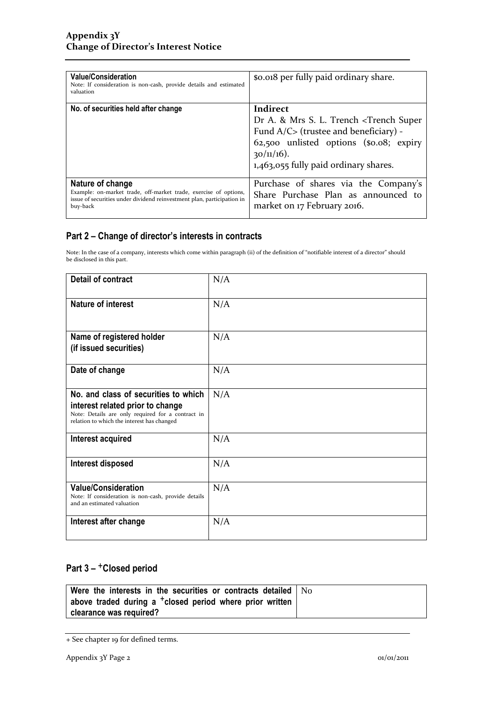| <b>Value/Consideration</b><br>Note: If consideration is non-cash, provide details and estimated<br>valuation                                                               | so.org per fully paid ordinary share.                                                                                                                                                                                                 |
|----------------------------------------------------------------------------------------------------------------------------------------------------------------------------|---------------------------------------------------------------------------------------------------------------------------------------------------------------------------------------------------------------------------------------|
| No. of securities held after change                                                                                                                                        | Indirect<br>Dr A. & Mrs S. L. Trench <trench super<br="">Fund <math>A/C</math> (trustee and beneficiary) -<br/>62,500 unlisted options (\$0.08; expiry<br/><math>30/11/16</math>).<br/>1,463,055 fully paid ordinary shares.</trench> |
| Nature of change<br>Example: on-market trade, off-market trade, exercise of options,<br>issue of securities under dividend reinvestment plan, participation in<br>buy-back | Purchase of shares via the Company's<br>Share Purchase Plan as announced to<br>market on 17 February 2016.                                                                                                                            |

### **Part 2 – Change of director's interests in contracts**

Note: In the case of a company, interests which come within paragraph (ii) of the definition of "notifiable interest of a director" should be disclosed in this part.

| <b>Detail of contract</b>                                                                                                                                                   | N/A |
|-----------------------------------------------------------------------------------------------------------------------------------------------------------------------------|-----|
| <b>Nature of interest</b>                                                                                                                                                   | N/A |
| Name of registered holder<br>(if issued securities)                                                                                                                         | N/A |
| Date of change                                                                                                                                                              | N/A |
| No. and class of securities to which<br>interest related prior to change<br>Note: Details are only required for a contract in<br>relation to which the interest has changed | N/A |
| Interest acquired                                                                                                                                                           | N/A |
| <b>Interest disposed</b>                                                                                                                                                    | N/A |
| <b>Value/Consideration</b><br>Note: If consideration is non-cash, provide details<br>and an estimated valuation                                                             | N/A |
| Interest after change                                                                                                                                                       | N/A |

## **Part 3 –** +**Closed period**

| Were the interests in the securities or contracts detailed $\vert$ No |  |
|-----------------------------------------------------------------------|--|
| above traded during a <sup>+</sup> closed period where prior written  |  |
| clearance was required?                                               |  |

<sup>+</sup> See chapter 19 for defined terms.